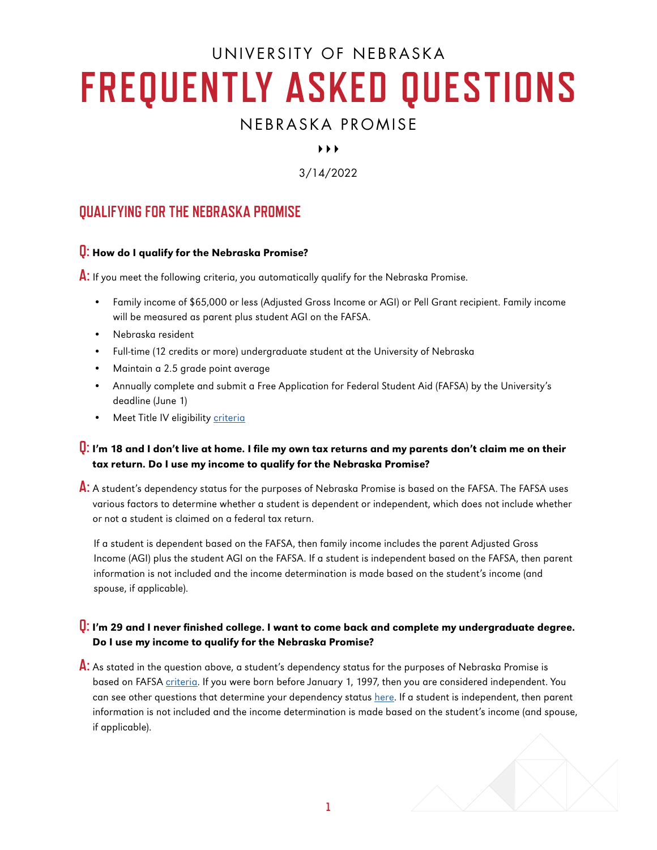# UNIVERSITY OF NEBRASKA **FREQUENTLY ASKED QUESTIONS**

# NEBRASKA PROMISE

# $\blacktriangleright$   $\blacktriangleright$   $\blacktriangleright$

3/14/2022

# **QUALIFYING FOR THE NEBRASKA PROMISE**

# **Q:** How do I qualify for the Nebraska Promise?

**A:** If you meet the following criteria, you automatically qualify for the Nebraska Promise.

- Family income of \$65,000 or less (Adjusted Gross Income or AGI) or Pell Grant recipient. Family income will be measured as parent plus student AGI on the FAFSA.
- Nebraska resident
- Full-time (12 credits or more) undergraduate student at the University of Nebraska
- Maintain a 2.5 grade point average
- Annually complete and submit a Free Application for Federal Student Aid (FAFSA) by the University's deadline (June 1)
- Meet Title IV eligibility [criteria](https://studentaid.gov/understand-aid/eligibility/requirements)

# **Q:** I'm 18 and I don't live at home. I file my own tax returns and my parents don't claim me on their tax return. Do I use my income to qualify for the Nebraska Promise?

**A:** A student's dependency status for the purposes of Nebraska Promise is based on the FAFSA. The FAFSA uses various factors to determine whether a student is dependent or independent, which does not include whether or not a student is claimed on a federal tax return.

If a student is dependent based on the FAFSA, then family income includes the parent Adjusted Gross Income (AGI) plus the student AGI on the FAFSA. If a student is independent based on the FAFSA, then parent information is not included and the income determination is made based on the student's income (and spouse, if applicable).

# **Q:** I'm 29 and I never finished college. I want to come back and complete my undergraduate degree. Do I use my income to qualify for the Nebraska Promise?

**A:** As stated in the question above, a student's dependency status for the purposes of Nebraska Promise is based on FAFSA [criteria](https://studentaid.gov/apply-for-aid/fafsa/filling-out/dependency). If you were born before January 1, 1997, then you are considered independent. You can see other questions that determine your dependency status [here](https://studentaid.gov/apply-for-aid/fafsa/filling-out/dependency). If a student is independent, then parent information is not included and the income determination is made based on the student's income (and spouse, if applicable).

**1**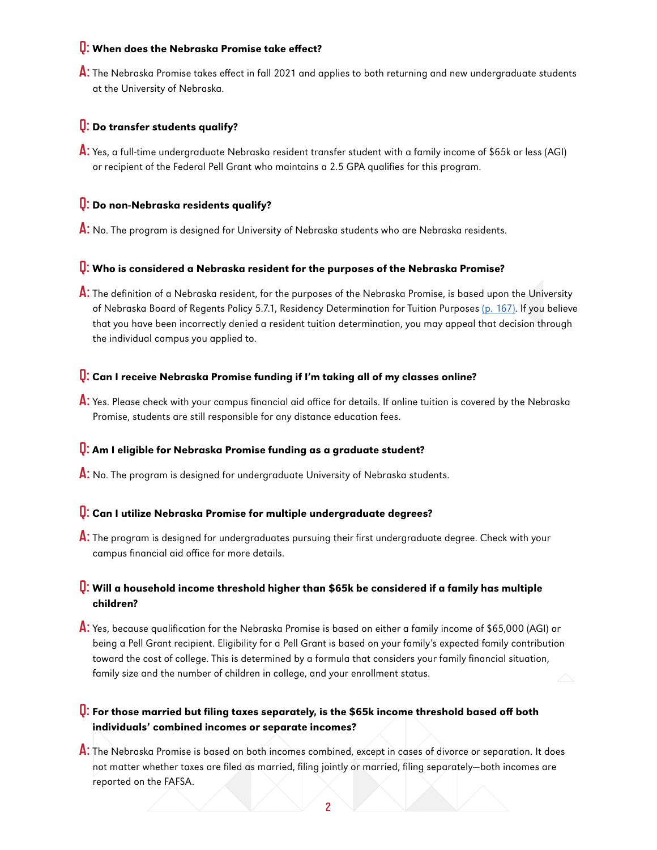## **Q:** When does the Nebraska Promise take effect?

**A:** The Nebraska Promise takes effect in fall 2021 and applies to both returning and new undergraduate students at the University of Nebraska.

## **Q:** Do transfer students qualify?

**A:** Yes, a full-time undergraduate Nebraska resident transfer student with a family income of \$65k or less (AGI) or recipient of the Federal Pell Grant who maintains a 2.5 GPA qualifies for this program.

#### **Q:** Do non-Nebraska residents qualify?

**A:** No. The program is designed for University of Nebraska students who are Nebraska residents.

#### **Q:** Who is considered a Nebraska resident for the purposes of the Nebraska Promise?

**A:** The definition of a Nebraska resident, for the purposes of the Nebraska Promise, is based upon the University of Nebraska Board of Regents Policy 5.7.1, Residency Determination for Tuition Purposes [\(p. 167\)](https://nebraska.edu/-/media/unca/docs/offices-and-policies/policies/board-governing-documents/board-of-regents-policies.pdf?&la=en#page=175). If you believe that you have been incorrectly denied a resident tuition determination, you may appeal that decision through the individual campus you applied to.

# **Q:** Can I receive Nebraska Promise funding if I'm taking all of my classes online?

**A:** Yes. Please check with your campus financial aid office for details. If online tuition is covered by the Nebraska Promise, students are still responsible for any distance education fees.

### **Q:** Am I eligible for Nebraska Promise funding as a graduate student?

**A:** No. The program is designed for undergraduate University of Nebraska students.

# **Q:** Can I utilize Nebraska Promise for multiple undergraduate degrees?

**A:** The program is designed for undergraduates pursuing their first undergraduate degree. Check with your campus financial aid office for more details.

### **Q:** Will a household income threshold higher than \$65k be considered if a family has multiple children?

**A:** Yes, because qualification for the Nebraska Promise is based on either a family income of \$65,000 (AGI) or being a Pell Grant recipient. Eligibility for a Pell Grant is based on your family's expected family contribution toward the cost of college. This is determined by a formula that considers your family financial situation, family size and the number of children in college, and your enrollment status.

# **Q:** For those married but filing taxes separately, is the \$65k income threshold based off both individuals' combined incomes or separate incomes?

**A:** The Nebraska Promise is based on both incomes combined, except in cases of divorce or separation. It does not matter whether taxes are filed as married, filing jointly or married, filing separately—both incomes are reported on the FAFSA.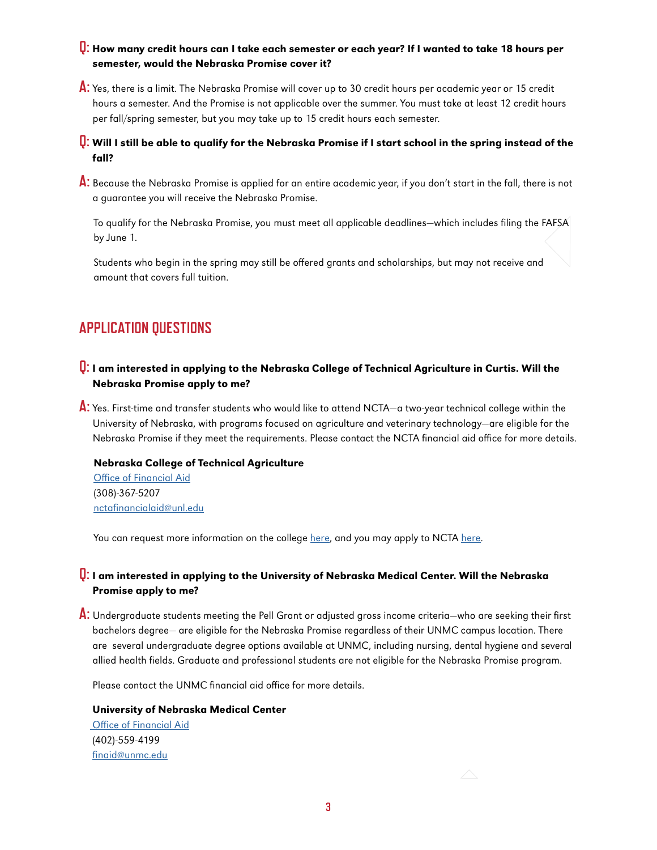# **Q:** How many credit hours can I take each semester or each year? If I wanted to take 18 hours per semester, would the Nebraska Promise cover it?

**A:** Yes, there is a limit. The Nebraska Promise will cover up to 30 credit hours per academic year or 15 credit hours a semester. And the Promise is not applicable over the summer. You must take at least 12 credit hours per fall/spring semester, but you may take up to 15 credit hours each semester.

# **Q:** Will I still be able to qualify for the Nebraska Promise if I start school in the spring instead of the fall?

**A:** Because the Nebraska Promise is applied for an entire academic year, if you don't start in the fall, there is not a guarantee you will receive the Nebraska Promise.

To qualify for the Nebraska Promise, you must meet all applicable deadlines—which includes filing the FAFSA by June 1.

Students who begin in the spring may still be offered grants and scholarships, but may not receive and amount that covers full tuition.

# **APPLICATION QUESTIONS**

# **Q:** I am interested in applying to the Nebraska College of Technical Agriculture in Curtis. Will the Nebraska Promise apply to me?

**A:** Yes. First-time and transfer students who would like to attend NCTA—a two-year technical college within the University of Nebraska, with programs focused on agriculture and veterinary technology—are eligible for the Nebraska Promise if they meet the requirements. Please contact the NCTA financial aid office for more details.

#### Nebraska College of Technical Agriculture

[Office of Financial Aid](https://ncta.unl.edu/scholarships-and-financial-aid-programs?utm_source=NebraskaPromise&utm_medium=NP-webpage) (308)-367-5207 [nctafinancialaid@unl.edu](mailto:nctafinancialaid%40unl.edu?subject=)

You can request more information on the college [here](https://ncta.unl.edu/ncta-interest-form?utm_source=NebraskaPromise&utm_medium=NP-webpage), and you may apply to NCTA [here](https://nebraska.edu/nebraska-promise/faq?utm_source=NebraskaPromise&utm_medium=NP-webpage).

## **Q:** I am interested in applying to the University of Nebraska Medical Center. Will the Nebraska Promise apply to me?

**A:** Undergraduate students meeting the Pell Grant or adjusted gross income criteria—who are seeking their first bachelors degree— are eligible for the Nebraska Promise regardless of their UNMC campus location. There are several undergraduate degree options available at UNMC, including nursing, dental hygiene and several allied health fields. Graduate and professional students are not eligible for the Nebraska Promise program.

Please contact the UNMC financial aid office for more details.

#### University of Nebraska Medical Center

 [Office of Financial Aid](https://www.unmc.edu/financialaid/) (402)-559-4199 [finaid@unmc.edu](mailto:finaid%40unmc.edu?subject=)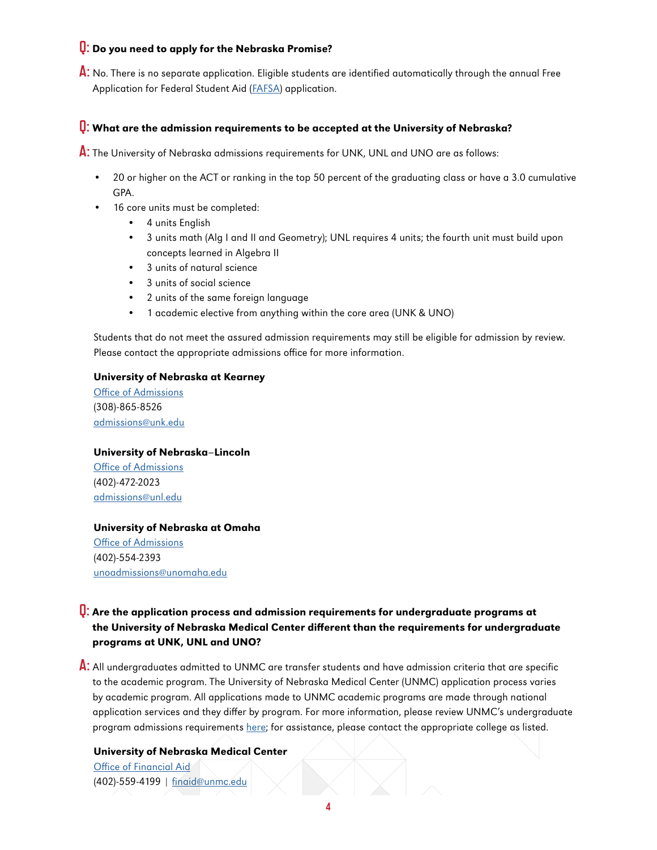# **Q:** Do you need to apply for the Nebraska Promise?

**A:** No. There is no separate application. Eligible students are identified automatically through the annual Free Application for Federal Student Aid [\(FAFSA\)](https://studentaid.gov/h/apply-for-aid/fafsa) application.

# **Q:** What are the admission requirements to be accepted at the University of Nebraska?

**A:** The University of Nebraska admissions requirements for UNK, UNL and UNO are as follows:

- 20 or higher on the ACT or ranking in the top 50 percent of the graduating class or have a 3.0 cumulative GPA.
- 16 core units must be completed:
	- 4 units English
	- 3 units math (Alg I and II and Geometry); UNL requires 4 units; the fourth unit must build upon concepts learned in Algebra II
	- 3 units of natural science
	- 3 units of social science
	- 2 units of the same foreign language
	- 1 academic elective from anything within the core area (UNK & UNO)

Students that do not meet the assured admission requirements may still be eligible for admission by review. Please contact the appropriate admissions office for more information.

#### University of Nebraska at Kearney

[Office of Admissions](http://Office of Admissions) (308)-865-8526 [admissions@unk.edu](mailto:admissions%40unk.edu?subject=)

#### University of Nebraska–Lincoln

[Office of Admissions](https://admissions.unl.edu/?utm_source=NebraskaPromise&utm_medium=NP-webpage) (402)-472-2023 [admissions@unl.edu](mailto:admissions%40unl.edu?subject=)

#### [University of Nebraska at Omaha](https://www.unomaha.edu/admissions/undergraduate/index.php?utm_source=NebraskaPromise&utm_medium=NP-webpage)

[Office of Admissions](https://www.unomaha.edu/admissions/undergraduate/index.php?utm_source=NebraskaPromise&utm_medium=NP-webpage) (402)-554-2393 [unoadmissions@unomaha.edu](mailto:unoadmissions%40unomaha.edu?subject=)

# **Q:** Are the application process and admission requirements for undergraduate programs at the University of Nebraska Medical Center different than the requirements for undergraduate programs at UNK, UNL and UNO?

**A:** All undergraduates admitted to UNMC are transfer students and have admission criteria that are specific to the academic program. The University of Nebraska Medical Center (UNMC) application process varies by academic program. All applications made to UNMC academic programs are made through national application services and they differ by program. For more information, please review UNMC's undergraduate program admissions requirements [here;](https://www.unmc.edu/studentservices/_documents/209755_Recruitment_Overview_Brochure.pdf) for assistance, please contact the appropriate college as listed.

#### University of Nebraska Medical Center

[Office of Financial Aid](https://www.unmc.edu/financialaid/) (402)-559-4199 | [finaid@unmc.edu](mailto:finaid%40unmc.edu?subject=)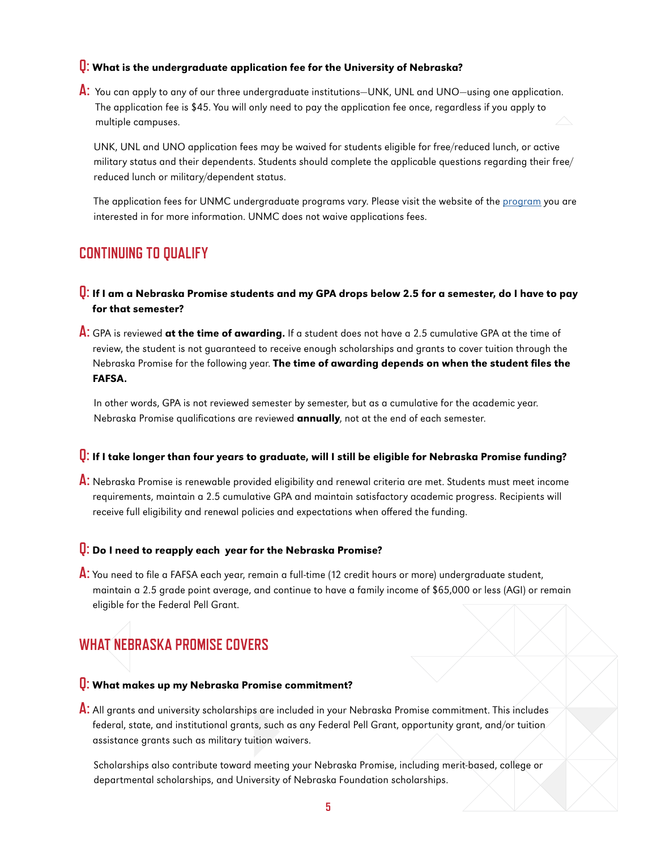#### **Q:** What is the undergraduate application fee for the University of Nebraska?

**A:** You can apply to any of our three undergraduate institutions—UNK, UNL and UNO—using one application. The application fee is \$45. You will only need to pay the application fee once, regardless if you apply to multiple campuses.

UNK, UNL and UNO application fees may be waived for students eligible for free/reduced lunch, or active military status and their dependents. Students should complete the applicable questions regarding their free/ reduced lunch or military/dependent status.

The application fees for UNMC undergraduate programs vary. Please visit the website of the [program](https://www.unmc.edu/studentservices/_documents/209755_Recruitment_Overview_Brochure.pdf) you are interested in for more information. UNMC does not waive applications fees.

# **CONTINUING TO QUALIFY**

- **Q:** If I am a Nebraska Promise students and my GPA drops below 2.5 for a semester, do I have to pay for that semester?
- **A:** GPA is reviewed at the time of awarding. If a student does not have a 2.5 cumulative GPA at the time of review, the student is not guaranteed to receive enough scholarships and grants to cover tuition through the Nebraska Promise for the following year. The time of awarding depends on when the student files the FAFSA.

In other words, GPA is not reviewed semester by semester, but as a cumulative for the academic year. Nebraska Promise qualifications are reviewed **annually**, not at the end of each semester.

## **Q:** If I take longer than four years to graduate, will I still be eligible for Nebraska Promise funding?

**A:** Nebraska Promise is renewable provided eligibility and renewal criteria are met. Students must meet income requirements, maintain a 2.5 cumulative GPA and maintain satisfactory academic progress. Recipients will receive full eligibility and renewal policies and expectations when offered the funding.

# **Q:** Do I need to reapply each year for the Nebraska Promise?

**A:** You need to file a FAFSA each year, remain a full-time (12 credit hours or more) undergraduate student, maintain a 2.5 grade point average, and continue to have a family income of \$65,000 or less (AGI) or remain eligible for the Federal Pell Grant.

# **WHAT NEBRASKA PROMISE COVERS**

# **Q:** What makes up my Nebraska Promise commitment?

**A:** All grants and university scholarships are included in your Nebraska Promise commitment. This includes federal, state, and institutional grants, such as any Federal Pell Grant, opportunity grant, and/or tuition assistance grants such as military tuition waivers.

Scholarships also contribute toward meeting your Nebraska Promise, including merit-based, college or departmental scholarships, and University of Nebraska Foundation scholarships.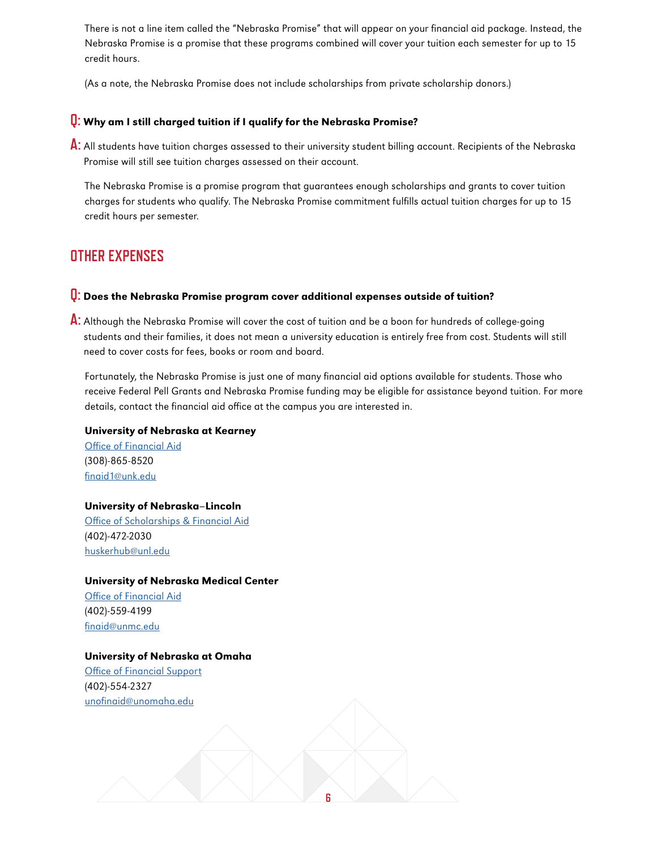There is not a line item called the "Nebraska Promise" that will appear on your financial aid package. Instead, the Nebraska Promise is a promise that these programs combined will cover your tuition each semester for up to 15 credit hours.

(As a note, the Nebraska Promise does not include scholarships from private scholarship donors.)

### **Q:** Why am I still charged tuition if I qualify for the Nebraska Promise?

**A:** All students have tuition charges assessed to their university student billing account. Recipients of the Nebraska Promise will still see tuition charges assessed on their account.

The Nebraska Promise is a promise program that guarantees enough scholarships and grants to cover tuition charges for students who qualify. The Nebraska Promise commitment fulfills actual tuition charges for up to 15 credit hours per semester.

# **OTHER EXPENSES**

### **Q:** Does the Nebraska Promise program cover additional expenses outside of tuition?

**A:** Although the Nebraska Promise will cover the cost of tuition and be a boon for hundreds of college-going students and their families, it does not mean a university education is entirely free from cost. Students will still need to cover costs for fees, books or room and board.

Fortunately, the Nebraska Promise is just one of many financial aid options available for students. Those who receive Federal Pell Grants and Nebraska Promise funding may be eligible for assistance beyond tuition. For more details, contact the financial aid office at the campus you are interested in.

#### University of Nebraska at Kearney

[Office of Financial Aid](https://www.unk.edu/offices/financial_aid/index.php?utm_source=NebraskaPromise&utm_medium=NP-webpage) (308)-865-8520 [finaid1@unk.edu](mailto:finaid1%40unk.edu?subject=)

#### University of Nebraska–Lincoln

[Office of Scholarships & Financial Aid](https://financialaid.unl.edu/?utm_source=NebraskaPromise&utm_medium=NP-webpage) (402)-472-2030 [huskerhub@unl.edu](mailto:huskerhub%40unl.edu?subject=)

#### University of Nebraska Medical Center

[Office of Financial Aid](https://www.unmc.edu/financialaid/) (402)-559-4199 [finaid@unmc.edu](mailto:finaid%40unmc.edu?subject=)

#### University of Nebraska at Omaha

[Office of Financial Support](https://www.unomaha.edu/admissions/financial-support-and-scholarships/index.php?utm_source=NebraskaPromise&utm_medium=NP-webpage) (402)-554-2327 [unofinaid@unomaha.edu](mailto:unofinaid%40unomaha.edu?subject=)

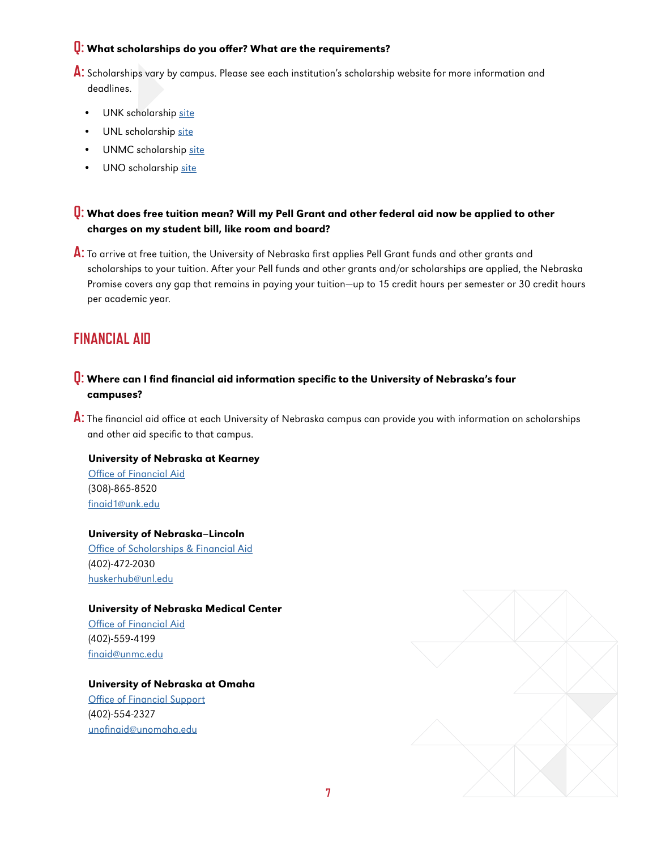## **Q:** What scholarships do you offer? What are the requirements?

- **A:** Scholarships vary by campus. Please see each institution's scholarship website for more information and deadlines.
	- UNK scholarship [site](https://www.unk.edu/scholarships.php?gclid=Cj0KCQjwybD0BRDyARIsACyS8msss18I6rys_pzckYVSfe9m9rwyObQ12_1ur90ItaY79u2w2h1ZOe4aAkxGEALw_wcB)
	- UNL scholarship [site](https://admissions.unl.edu/cost/#scholarships)
	- UNMC scholarship [site](https://www.unmc.edu/financialaid/about-aid/types-aid/scholarships/index.html)
	- UNO scholarship [site](https://www.unomaha.edu/admissions/financial-support-and-scholarships/types-of-aid/scholarships/index.php)

# **Q:** What does free tuition mean? Will my Pell Grant and other federal aid now be applied to other charges on my student bill, like room and board?

**A:** To arrive at free tuition, the University of Nebraska first applies Pell Grant funds and other grants and scholarships to your tuition. After your Pell funds and other grants and/or scholarships are applied, the Nebraska Promise covers any gap that remains in paying your tuition—up to 15 credit hours per semester or 30 credit hours per academic year.

# **FINANCIAL AID**

## **Q:** Where can I find financial aid information specific to the University of Nebraska's four campuses?

**A:** The financial aid office at each University of Nebraska campus can provide you with information on scholarships and other aid specific to that campus.

#### University of Nebraska at Kearney

[Office of Financial Aid](https://www.unk.edu/offices/financial_aid/index.php?utm_source=NebraskaPromise&utm_medium=NP-webpage) (308)-865-8520 [finaid1@unk.edu](mailto:finaid1%40unk.edu?subject=)

#### University of Nebraska–Lincoln

[Office of Scholarships & Financial Aid](https://financialaid.unl.edu/?utm_source=NebraskaPromise&utm_medium=NP-webpage) (402)-472-2030 [huskerhub@unl.edu](mailto:huskerhub%40unl.edu?subject=)

#### University of Nebraska Medical Center

[Office of Financial Aid](https://www.unmc.edu/financialaid/) (402)-559-4199 [finaid@unmc.edu](mailto:finaid%40unmc.edu?subject=)

#### University of Nebraska at Omaha

[Office of Financial Support](https://www.unomaha.edu/admissions/financial-support-and-scholarships/index.php?utm_source=NebraskaPromise&utm_medium=NP-webpage) (402)-554-2327 [unofinaid@unomaha.edu](mailto:unofinaid%40unomaha.edu?subject=)

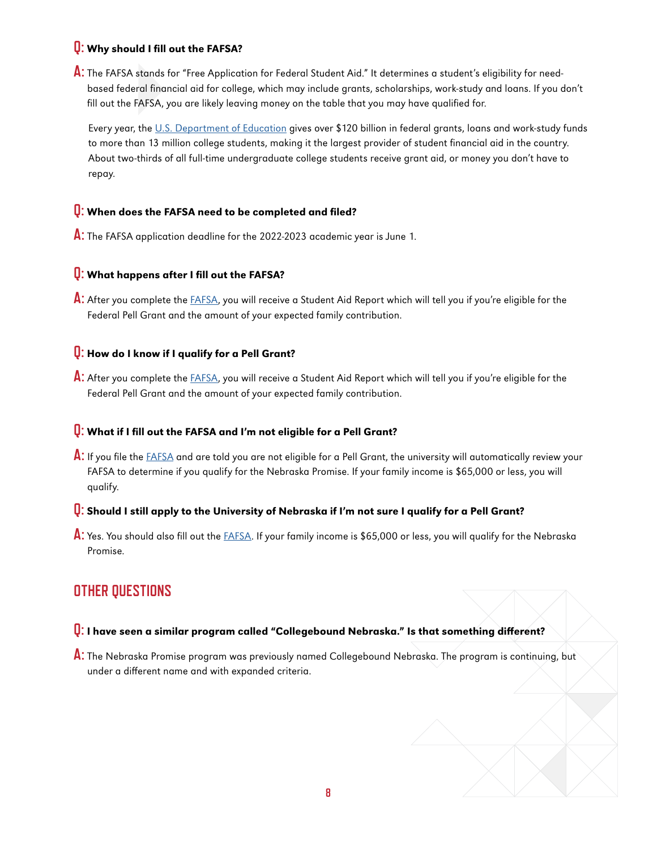## **Q:** Why should I fill out the FAFSA?

**A:** The FAFSA stands for "Free Application for Federal Student Aid." It determines a student's eligibility for needbased federal financial aid for college, which may include grants, scholarships, work-study and loans. If you don't fill out the FAFSA, you are likely leaving money on the table that you may have qualified for.

Every year, the [U.S. Department of Education](https://studentaid.ed.gov/sa/about) gives over \$120 billion in federal grants, loans and work-study funds to more than 13 million college students, making it the largest provider of student financial aid in the country. About two-thirds of all full-time undergraduate college students receive grant aid, or money you don't have to repay.

### **Q:** When does the FAFSA need to be completed and filed?

**A:** The FAFSA application deadline for the 2022-2023 academic year is June 1.

## **Q:** What happens after I fill out the FAFSA?

**A:** After you complete the [FAFSA](https://studentaid.gov/h/apply-for-aid/fafsa), you will receive a Student Aid Report which will tell you if you're eligible for the Federal Pell Grant and the amount of your expected family contribution.

## **Q:** How do I know if I qualify for a Pell Grant?

**A:** After you complete the [FAFSA](https://studentaid.gov/h/apply-for-aid/fafsa), you will receive a Student Aid Report which will tell you if you're eligible for the Federal Pell Grant and the amount of your expected family contribution.

#### **Q:** What if I fill out the FAFSA and I'm not eligible for a Pell Grant?

**A:** If you file the [FAFSA](https://studentaid.gov/h/apply-for-aid/fafsa) and are told you are not eligible for a Pell Grant, the university will automatically review your FAFSA to determine if you qualify for the Nebraska Promise. If your family income is \$65,000 or less, you will qualify.

#### **Q:** Should I still apply to the University of Nebraska if I'm not sure I qualify for a Pell Grant?

**A:** Yes. You should also fill out the [FAFSA](https://studentaid.gov/h/apply-for-aid/fafsa). If your family income is \$65,000 or less, you will qualify for the Nebraska Promise.

# **OTHER QUESTIONS**

# **Q:** I have seen a similar program called "Collegebound Nebraska." Is that something different?

**A:** The Nebraska Promise program was previously named Collegebound Nebraska. The program is continuing, but under a different name and with expanded criteria.